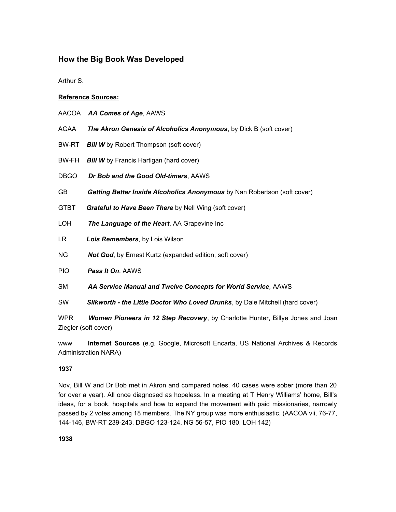## **How the Big Book Was Developed**

Arthur S.

## **Reference Sources:**

- AACOA *AA Comes of Age*, AAWS
- AGAA *The Akron Genesis of Alcoholics Anonymous*, by Dick B (soft cover)
- BW-RT *Bill W* by Robert Thompson (soft cover)
- BW-FH *Bill W* by Francis Hartigan (hard cover)
- DBGO *Dr Bob and the Good Old-timers*, AAWS
- GB *Getting Better Inside Alcoholics Anonymous* by Nan Robertson (soft cover)
- GTBT *Grateful to Have Been There* by Nell Wing (soft cover)
- LOH *The Language of the Heart*, AA Grapevine Inc
- LR *Lois Remembers*, by Lois Wilson
- NG *Not God*, by Ernest Kurtz (expanded edition, soft cover)
- PIO *Pass It On*, AAWS
- SM *AA Service Manual and Twelve Concepts for World Service,* AAWS
- SW *Silkworth the Little Doctor Who Loved Drunks*, by Dale Mitchell (hard cover)

WPR *Women Pioneers in 12 Step Recovery*, by Charlotte Hunter, Billye Jones and Joan Ziegler (soft cover)

www **Internet Sources** (e.g. Google, Microsoft Encarta, US National Archives & Records Administration NARA)

## **1937**

Nov, Bill W and Dr Bob met in Akron and compared notes. 40 cases were sober (more than 20 for over a year). All once diagnosed as hopeless. In a meeting at T Henry Williams' home, Bill's ideas, for a book, hospitals and how to expand the movement with paid missionaries, narrowly passed by 2 votes among 18 members. The NY group was more enthusiastic. (AACOA vii, 76-77, 144-146, BW-RT 239-243, DBGO 123-124, NG 56-57, PIO 180, LOH 142)

**1938**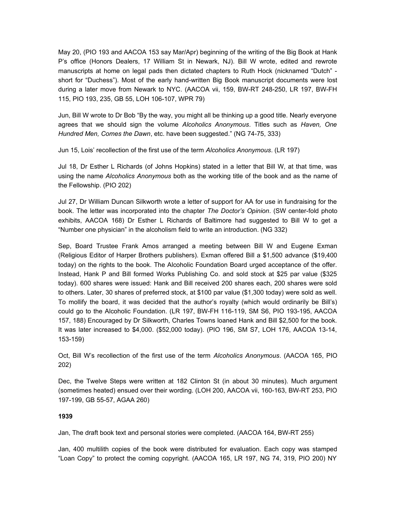May 20, (PIO 193 and AACOA 153 say Mar/Apr) beginning of the writing of the Big Book at Hank P's office (Honors Dealers, 17 William St in Newark, NJ). Bill W wrote, edited and rewrote manuscripts at home on legal pads then dictated chapters to Ruth Hock (nicknamed "Dutch" short for "Duchess"). Most of the early hand-written Big Book manuscript documents were lost during a later move from Newark to NYC. (AACOA vii, 159, BW-RT 248-250, LR 197, BW-FH 115, PIO 193, 235, GB 55, LOH 106-107, WPR 79)

Jun, Bill W wrote to Dr Bob "By the way, you might all be thinking up a good title. Nearly everyone agrees that we should sign the volume *Alcoholics Anonymous*. Titles such as *Haven, One Hundred Men, Comes the Dawn*, etc. have been suggested." (NG 74-75, 333)

Jun 15, Lois' recollection of the first use of the term *Alcoholics Anonymous*. (LR 197)

Jul 18, Dr Esther L Richards (of Johns Hopkins) stated in a letter that Bill W, at that time, was using the name *Alcoholics Anonymous* both as the working title of the book and as the name of the Fellowship. (PIO 202)

Jul 27, Dr William Duncan Silkworth wrote a letter of support for AA for use in fundraising for the book. The letter was incorporated into the chapter *The Doctor's Opinion*. (SW center-fold photo exhibits, AACOA 168) Dr Esther L Richards of Baltimore had suggested to Bill W to get a "Number one physician" in the alcoholism field to write an introduction. (NG 332)

Sep, Board Trustee Frank Amos arranged a meeting between Bill W and Eugene Exman (Religious Editor of Harper Brothers publishers). Exman offered Bill a \$1,500 advance (\$19,400 today) on the rights to the book. The Alcoholic Foundation Board urged acceptance of the offer. Instead, Hank P and Bill formed Works Publishing Co. and sold stock at \$25 par value (\$325 today). 600 shares were issued: Hank and Bill received 200 shares each, 200 shares were sold to others. Later, 30 shares of preferred stock, at \$100 par value (\$1,300 today) were sold as well. To mollify the board, it was decided that the author's royalty (which would ordinarily be Bill's) could go to the Alcoholic Foundation. (LR 197, BW-FH 116-119, SM S6, PIO 193-195, AACOA 157, 188) Encouraged by Dr Silkworth, Charles Towns loaned Hank and Bill \$2,500 for the book. It was later increased to \$4,000. (\$52,000 today). (PIO 196, SM S7, LOH 176, AACOA 13-14, 153-159)

Oct, Bill W's recollection of the first use of the term *Alcoholics Anonymous*. (AACOA 165, PIO 202)

Dec, the Twelve Steps were written at 182 Clinton St (in about 30 minutes). Much argument (sometimes heated) ensued over their wording. (LOH 200, AACOA vii, 160-163, BW-RT 253, PIO 197-199, GB 55-57, AGAA 260)

## **1939**

Jan, The draft book text and personal stories were completed. (AACOA 164, BW-RT 255)

Jan, 400 multilith copies of the book were distributed for evaluation. Each copy was stamped "Loan Copy" to protect the coming copyright. (AACOA 165, LR 197, NG 74, 319, PIO 200) NY